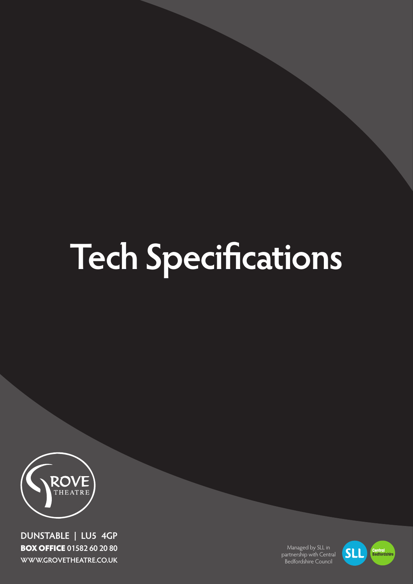# **Tech Specifications**



BOX OFFICE **01582 60 20 80 WWW.GROVETHEATRE.CO.UK DUNSTABLE | LU5 4GP**

Managed by SLL in partnership with Central Bedfordshire Council

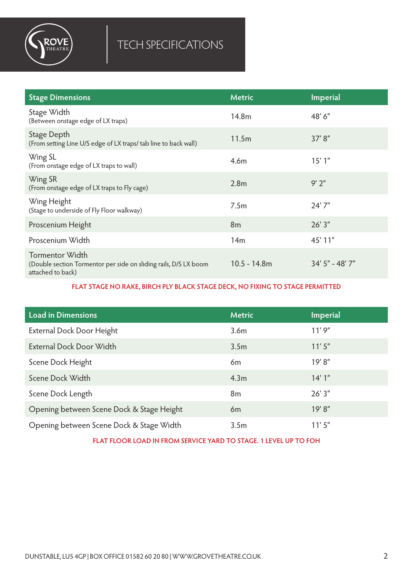

| <b>Stage Dimensions</b>                                                                                         | <b>Metric</b>    | Imperial        |
|-----------------------------------------------------------------------------------------------------------------|------------------|-----------------|
| Stage Width<br>(Between onstage edge of LX traps)                                                               | 14.8m            | 48'6"           |
| Stage Depth<br>(From setting Line U/S edge of LX traps/ tab line to back wall)                                  | 11.5m            | 37'8''          |
| Wing SL<br>(From onstage edge of LX traps to wall)                                                              | 4.6 <sub>m</sub> | 15'1''          |
| Wing SR<br>(From onstage edge of LX traps to Fly cage)                                                          | 2.8 <sub>m</sub> | 9'2''           |
| Wing Height<br>(Stage to underside of Fly Floor walkway)                                                        | 7.5 <sub>m</sub> | 24'7''          |
| Proscenium Height                                                                                               | 8 <sub>m</sub>   | 26'3''          |
| Proscenium Width                                                                                                | 14 <sub>m</sub>  | 45' 11"         |
| <b>Tormentor Width</b><br>(Double section Tormentor per side on sliding rails, D/S LX boom<br>attached to back) | $10.5 - 14.8m$   | 34' 5" - 48' 7" |

#### **FLAT STAGE NO RAKE, BIRCH PLY BLACK STAGE DECK, NO FIXING TO STAGE PERMITTED**

| <b>Load in Dimensions</b>                 | <b>Metric</b>    | <b>Imperial</b> |
|-------------------------------------------|------------------|-----------------|
| External Dock Door Height                 | 3.6 <sub>m</sub> | 11'9''          |
| External Dock Door Width                  | 3.5 <sub>m</sub> | 11'5''          |
| Scene Dock Height                         | 6m               | 19'8''          |
| Scene Dock Width                          | 4.3 <sub>m</sub> | 14'1''          |
| Scene Dock Length                         | 8m               | 26'3''          |
| Opening between Scene Dock & Stage Height | 6m               | 19'8''          |
| Opening between Scene Dock & Stage Width  | 3.5 <sub>m</sub> | 11'5''          |

**FLAT FLOOR LOAD IN FROM SERVICE YARD TO STAGE. 1 LEVEL UP TO FOH**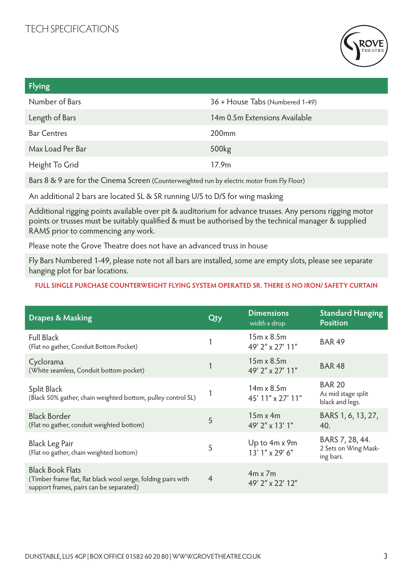

| <b>Flying</b>      |                                 |
|--------------------|---------------------------------|
| Number of Bars     | 36 + House Tabs (Numbered 1-49) |
| Length of Bars     | 14m 0.5m Extensions Available   |
| <b>Bar Centres</b> | 200 <sub>mm</sub>               |
| Max Load Per Bar   | 500kg                           |
| Height To Grid     | 17.9m                           |

Bars 8 & 9 are for the Cinema Screen (Counterweighted run by electric motor from Fly Floor)

An additional 2 bars are located SL & SR running U/S to D/S for wing masking

Additional rigging points available over pit & auditorium for advance trusses. Any persons rigging motor points or trusses must be suitably qualified & must be authorised by the technical manager & supplied RAMS prior to commencing any work.

Please note the Grove Theatre does not have an advanced truss in house

Fly Bars Numbered 1-49, please note not all bars are installed, some are empty slots, please see separate hanging plot for bar locations.

#### **FULL SINGLE PURCHASE COUNTERWEIGHT FLYING SYSTEM OPERATED SR. THERE IS NO IRON/ SAFETY CURTAIN**

| <b>Drapes &amp; Masking</b>                                                                                                         | Qty            | <b>Dimensions</b><br>width x drop      | <b>Standard Hanging</b><br><b>Position</b>             |
|-------------------------------------------------------------------------------------------------------------------------------------|----------------|----------------------------------------|--------------------------------------------------------|
| <b>Full Black</b><br>(Flat no gather, Conduit Bottom Pocket)                                                                        |                | $15m \times 8.5m$<br>49' 2" x 27' 11"  | <b>BAR49</b>                                           |
| Cyclorama<br>(White seamless, Conduit bottom pocket)                                                                                |                | $15m \times 8.5m$<br>49' 2" x 27' 11"  | <b>BAR 48</b>                                          |
| Split Black<br>(Black 50% gather, chain weighted bottom, pulley control SL)                                                         |                | $14m \times 8.5m$<br>45' 11" x 27' 11" | <b>BAR 20</b><br>As mid stage split<br>black and legs. |
| <b>Black Border</b><br>(Flat no gather, conduit weighted bottom)                                                                    | 5              | $15m \times 4m$<br>49' 2" x 13' 1"     | BARS 1, 6, 13, 27,<br>40.                              |
| <b>Black Leg Pair</b><br>(Flat no gather, chain weighted bottom)                                                                    | 5              | Up to 4m x 9m<br>13' 1" x 29' 6"       | BARS 7, 28, 44.<br>2 Sets on Wing Mask-<br>ing bars.   |
| <b>Black Book Flats</b><br>(Timber frame flat, flat black wool serge, folding pairs with<br>support frames, pairs can be separated) | $\overline{4}$ | $4m \times 7m$<br>49' 2" x 22' 12"     |                                                        |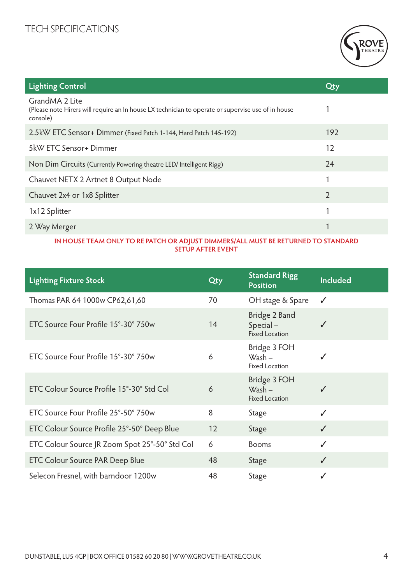

| <b>Lighting Control</b>                                                                                                          | Qty            |
|----------------------------------------------------------------------------------------------------------------------------------|----------------|
| GrandMA 2 Lite<br>(Please note Hirers will require an In house LX technician to operate or supervise use of in house<br>console) |                |
| 2.5kW ETC Sensor+ Dimmer (Fixed Patch 1-144, Hard Patch 145-192)                                                                 | 192            |
| 5kW ETC Sensor+ Dimmer                                                                                                           | 12             |
| Non Dim Circuits (Currently Powering theatre LED/ Intelligent Rigg)                                                              | 24             |
| Chauvet NETX 2 Artnet 8 Output Node                                                                                              |                |
| Chauvet 2x4 or 1x8 Splitter                                                                                                      | $\overline{2}$ |
| 1x12 Splitter                                                                                                                    | 1              |
| 2 Way Merger                                                                                                                     |                |
|                                                                                                                                  |                |

#### **IN HOUSE TEAM ONLY TO RE PATCH OR ADJUST DIMMERS/ALL MUST BE RETURNED TO STANDARD SETUP AFTER EVENT**

| <b>Lighting Fixture Stock</b>                  | Qty | <b>Standard Rigg</b><br><b>Position</b>               | <b>Included</b> |
|------------------------------------------------|-----|-------------------------------------------------------|-----------------|
| Thomas PAR 64 1000w CP62,61,60                 | 70  | OH stage & Spare                                      | $\checkmark$    |
| ETC Source Four Profile 15°-30° 750w           | 14  | Bridge 2 Band<br>$Special -$<br><b>Fixed Location</b> | ✓               |
| ETC Source Four Profile 15°-30° 750w           | 6   | Bridge 3 FOH<br>Wash -<br><b>Fixed Location</b>       |                 |
| ETC Colour Source Profile 15°-30° Std Col      | 6   | Bridge 3 FOH<br>Wash -<br><b>Fixed Location</b>       | J               |
| ETC Source Four Profile 25°-50° 750w           | 8   | Stage                                                 | $\checkmark$    |
| ETC Colour Source Profile 25°-50° Deep Blue    | 12  | Stage                                                 | $\checkmark$    |
| ETC Colour Source JR Zoom Spot 25°-50° Std Col | 6   | <b>Booms</b>                                          | ✓               |
| ETC Colour Source PAR Deep Blue                | 48  | Stage                                                 | $\checkmark$    |
| Selecon Fresnel, with barndoor 1200w           | 48  | Stage                                                 |                 |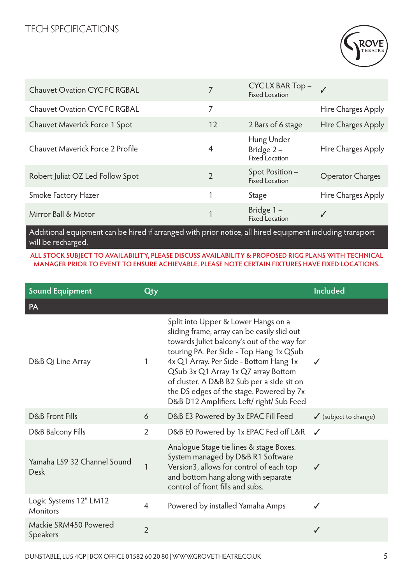

| <b>Chauvet Ovation CYC FC RGBAL</b> | 7  | CYC LX BAR Top-<br><b>Fixed Location</b>            |                         |
|-------------------------------------|----|-----------------------------------------------------|-------------------------|
| <b>Chauvet Ovation CYC FC RGBAL</b> | 7  |                                                     | Hire Charges Apply      |
| Chauvet Maverick Force 1 Spot       | 12 | 2 Bars of 6 stage                                   | Hire Charges Apply      |
| Chauvet Maverick Force 2 Profile    | 4  | Hung Under<br>Bridge $2 -$<br><b>Fixed Location</b> | Hire Charges Apply      |
| Robert Juliat OZ Led Follow Spot    | 2  | Spot Position -<br><b>Fixed Location</b>            | <b>Operator Charges</b> |
| Smoke Factory Hazer                 |    | Stage                                               | Hire Charges Apply      |
| Mirror Ball & Motor                 |    | Bridge $1 -$<br><b>Fixed Location</b>               |                         |

Additional equipment can be hired if arranged with prior notice, all hired equipment including transport will be recharged.

**ALL STOCK SUBJECT TO AVAILABILITY, PLEASE DISCUSS AVAILABILITY & PROPOSED RIGG PLANS WITH TECHNICAL MANAGER PRIOR TO EVENT TO ENSURE ACHIEVABLE. PLEASE NOTE CERTAIN FIXTURES HAVE FIXED LOCATIONS.**

| <b>Sound Equipment</b>                     | Qty            |                                                                                                                                                                                                                                                                                                                                                                                                    | Included              |
|--------------------------------------------|----------------|----------------------------------------------------------------------------------------------------------------------------------------------------------------------------------------------------------------------------------------------------------------------------------------------------------------------------------------------------------------------------------------------------|-----------------------|
| PA                                         |                |                                                                                                                                                                                                                                                                                                                                                                                                    |                       |
| D&B Qi Line Array                          | 1              | Split into Upper & Lower Hangs on a<br>sliding frame, array can be easily slid out<br>towards Juliet balcony's out of the way for<br>touring PA. Per Side - Top Hang 1x QSub<br>4x Q1 Array. Per Side - Bottom Hang 1x<br>QSub 3x Q1 Array 1x Q7 array Bottom<br>of cluster. A D&B B2 Sub per a side sit on<br>the DS edges of the stage. Powered by 7x<br>D&B D12 Amplifiers. Left/right/Sub Feed |                       |
| D&B Front Fills                            | 6              | D&B E3 Powered by 3x EPAC Fill Feed                                                                                                                                                                                                                                                                                                                                                                | ✔ (subject to change) |
| D&B Balcony Fills                          | $\overline{2}$ | D&B E0 Powered by 1x EPAC Fed off L&R                                                                                                                                                                                                                                                                                                                                                              | $\checkmark$          |
| Yamaha LS9 32 Channel Sound<br><b>Desk</b> | $\mathbf{1}$   | Analogue Stage tie lines & stage Boxes.<br>System managed by D&B R1 Software<br>Version3, allows for control of each top<br>and bottom hang along with separate<br>control of front fills and subs.                                                                                                                                                                                                | $\checkmark$          |
| Logic Systems 12" LM12<br><b>Monitors</b>  | $\overline{4}$ | Powered by installed Yamaha Amps                                                                                                                                                                                                                                                                                                                                                                   | ✓                     |
| Mackie SRM450 Powered<br>Speakers          | $\overline{2}$ |                                                                                                                                                                                                                                                                                                                                                                                                    |                       |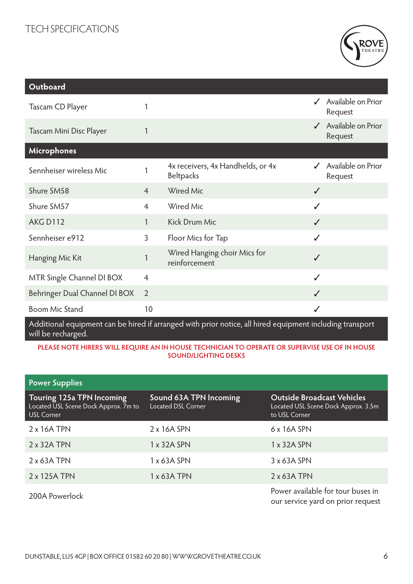

| <b>Outboard</b>               |                |                                                       |              |                               |
|-------------------------------|----------------|-------------------------------------------------------|--------------|-------------------------------|
| Tascam CD Player              |                |                                                       |              | Available on Prior<br>Request |
| Tascam Mini Disc Player       |                |                                                       | $\sqrt{2}$   | Available on Prior<br>Request |
| <b>Microphones</b>            |                |                                                       |              |                               |
| Sennheiser wireless Mic       | 1              | 4x receivers, 4x Handhelds, or 4x<br><b>Beltpacks</b> |              | Available on Prior<br>Request |
| Shure SM58                    | $\overline{4}$ | Wired Mic                                             | $\checkmark$ |                               |
| Shure SM57                    | $\overline{4}$ | Wired Mic                                             |              |                               |
| AKG D112                      | $\mathbf{1}$   | Kick Drum Mic                                         | $\checkmark$ |                               |
| Sennheiser e912               | 3              | Floor Mics for Tap                                    |              |                               |
| Hanging Mic Kit               | 1              | Wired Hanging choir Mics for<br>reinforcement         | $\checkmark$ |                               |
| MTR Single Channel DI BOX     | $\overline{4}$ |                                                       | ✓            |                               |
| Behringer Dual Channel DI BOX | $\overline{2}$ |                                                       | ✓            |                               |
| <b>Boom Mic Stand</b>         | 10             |                                                       |              |                               |

Additional equipment can be hired if arranged with prior notice, all hired equipment including transport will be recharged.

**PLEASE NOTE HIRERS WILL REQUIRE AN IN HOUSE TECHNICIAN TO OPERATE OR SUPERVISE USE OF IN HOUSE SOUND/LIGHTING DESKS**

| <b>Power Supplies</b>                                                                  |                                                     |                                                                                           |
|----------------------------------------------------------------------------------------|-----------------------------------------------------|-------------------------------------------------------------------------------------------|
| Touring 125a TPN Incoming<br>Located USL Scene Dock Approx. 7m to<br><b>USL Corner</b> | Sound 63A TPN Incoming<br><b>Located DSL Corner</b> | <b>Outside Broadcast Vehicles</b><br>Located USL Scene Dock Approx. 3.5m<br>to USL Corner |
| $2 \times 16A$ TPN                                                                     | $2 \times 16A$ SPN                                  | $6x16A$ SPN                                                                               |
| 2 x 32A TPN                                                                            | 1 x 32A SPN                                         | 1 x 32A SPN                                                                               |
| $2x63A$ TPN                                                                            | 1 x 63A SPN                                         | $3x63A$ SPN                                                                               |
| 2 x 125A TPN                                                                           | 1 x 63A TPN                                         | $2 \times 63$ A TPN                                                                       |
| 200A Powerlock                                                                         |                                                     | Power available for tour buses in<br>our service yard on prior request                    |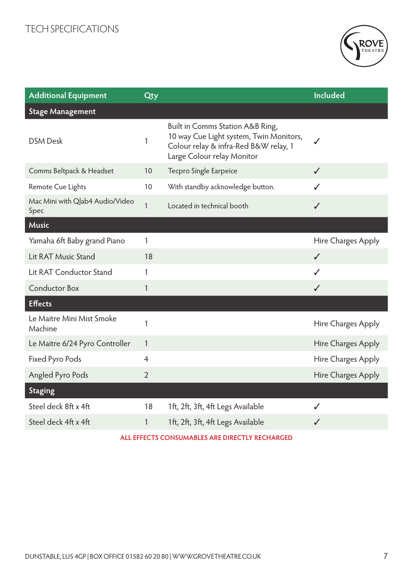

| <b>Additional Equipment</b>             | Qty            |                                                                                                                                                    | <b>Included</b>    |
|-----------------------------------------|----------------|----------------------------------------------------------------------------------------------------------------------------------------------------|--------------------|
| <b>Stage Management</b>                 |                |                                                                                                                                                    |                    |
| <b>DSM Desk</b>                         | 1              | Built in Comms Station A&B Ring,<br>10 way Cue Light system, Twin Monitors,<br>Colour relay & infra-Red B&W relay, 1<br>Large Colour relay Monitor | ✓                  |
| Comms Beltpack & Headset                | 10             | Tecpro Single Earpeice                                                                                                                             | $\checkmark$       |
| Remote Cue Lights                       | 10             | With standby acknowledge button.                                                                                                                   | ℐ                  |
| Mac Mini with Qlab4 Audio/Video<br>Spec | $\mathbf{1}$   | Located in technical booth                                                                                                                         | $\checkmark$       |
| <b>Music</b>                            |                |                                                                                                                                                    |                    |
| Yamaha 6ft Baby grand Piano             | 1              |                                                                                                                                                    | Hire Charges Apply |
| Lit RAT Music Stand                     | 18             |                                                                                                                                                    | $\checkmark$       |
| Lit RAT Conductor Stand                 | 1              |                                                                                                                                                    | J                  |
| <b>Conductor Box</b>                    | $\mathbf{1}$   |                                                                                                                                                    | ✓                  |
| <b>Effects</b>                          |                |                                                                                                                                                    |                    |
| Le Maitre Mini Mist Smoke<br>Machine    | 1              |                                                                                                                                                    | Hire Charges Apply |
| Le Maitre 6/24 Pyro Controller          | $\mathbf{1}$   |                                                                                                                                                    | Hire Charges Apply |
| Fixed Pyro Pods                         | $\overline{4}$ |                                                                                                                                                    | Hire Charges Apply |
| Angled Pyro Pods                        | $\overline{2}$ |                                                                                                                                                    | Hire Charges Apply |
| <b>Staging</b>                          |                |                                                                                                                                                    |                    |
| Steel deck 8ft x 4ft                    | 18             | 1ft, 2ft, 3ft, 4ft Legs Available                                                                                                                  | ✓                  |
| Steel deck 4ft x 4ft                    | 1              | 1ft, 2ft, 3ft, 4ft Legs Available                                                                                                                  | ✓                  |

**ALL EFFECTS CONSUMABLES ARE DIRECTLY RECHARGED**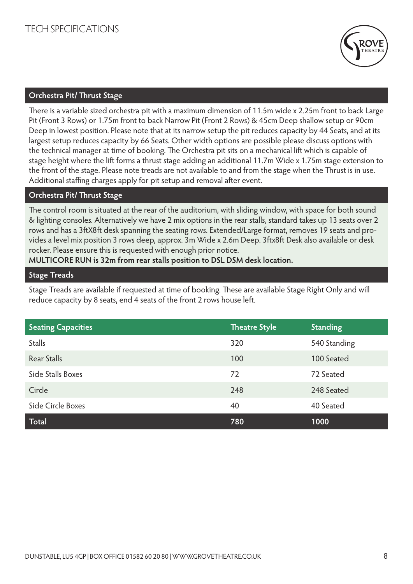

#### **Orchestra Pit/ Thrust Stage**

There is a variable sized orchestra pit with a maximum dimension of 11.5m wide x 2.25m front to back Large Pit (Front 3 Rows) or 1.75m front to back Narrow Pit (Front 2 Rows) & 45cm Deep shallow setup or 90cm Deep in lowest position. Please note that at its narrow setup the pit reduces capacity by 44 Seats, and at its largest setup reduces capacity by 66 Seats. Other width options are possible please discuss options with the technical manager at time of booking. The Orchestra pit sits on a mechanical lift which is capable of stage height where the lift forms a thrust stage adding an additional 11.7m Wide x 1.75m stage extension to the front of the stage. Please note treads are not available to and from the stage when the Thrust is in use. Additional staffing charges apply for pit setup and removal after event.

#### **Orchestra Pit/ Thrust Stage**

The control room is situated at the rear of the auditorium, with sliding window, with space for both sound & lighting consoles. Alternatively we have 2 mix options in the rear stalls, standard takes up 13 seats over 2 rows and has a 3ftX8ft desk spanning the seating rows. Extended/Large format, removes 19 seats and provides a level mix position 3 rows deep, approx. 3m Wide x 2.6m Deep. 3ftx8ft Desk also available or desk rocker. Please ensure this is requested with enough prior notice.

## **MULTICORE RUN is 32m from rear stalls position to DSL DSM desk location.**

#### **Stage Treads**

Stage Treads are available if requested at time of booking. These are available Stage Right Only and will reduce capacity by 8 seats, end 4 seats of the front 2 rows house left.

| <b>Seating Capacities</b> | <b>Theatre Style</b> | <b>Standing</b> |
|---------------------------|----------------------|-----------------|
| <b>Stalls</b>             | 320                  | 540 Standing    |
| Rear Stalls               | 100                  | 100 Seated      |
| Side Stalls Boxes         | 72                   | 72 Seated       |
| Circle                    | 248                  | 248 Seated      |
| Side Circle Boxes         | 40                   | 40 Seated       |
| <b>Total</b>              | 780                  | 1000            |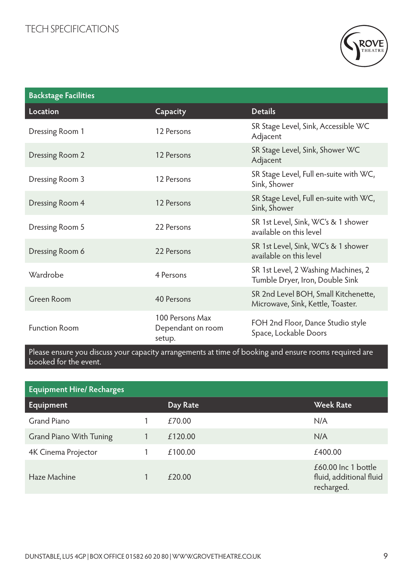

| <b>Backstage Facilities</b> |                                                |                                                                           |  |  |  |
|-----------------------------|------------------------------------------------|---------------------------------------------------------------------------|--|--|--|
| Location                    | Capacity                                       | <b>Details</b>                                                            |  |  |  |
| Dressing Room 1             | 12 Persons                                     | SR Stage Level, Sink, Accessible WC<br>Adjacent                           |  |  |  |
| Dressing Room 2             | 12 Persons                                     | SR Stage Level, Sink, Shower WC<br>Adjacent                               |  |  |  |
| Dressing Room 3             | 12 Persons                                     | SR Stage Level, Full en-suite with WC,<br>Sink, Shower                    |  |  |  |
| Dressing Room 4             | 12 Persons                                     | SR Stage Level, Full en-suite with WC,<br>Sink, Shower                    |  |  |  |
| Dressing Room 5             | 22 Persons                                     | SR 1st Level, Sink, WC's & 1 shower<br>available on this level            |  |  |  |
| Dressing Room 6             | 22 Persons                                     | SR 1st Level, Sink, WC's & 1 shower<br>available on this level            |  |  |  |
| Wardrobe                    | 4 Persons                                      | SR 1st Level, 2 Washing Machines, 2<br>Tumble Dryer, Iron, Double Sink    |  |  |  |
| Green Room                  | 40 Persons                                     | SR 2nd Level BOH, Small Kitchenette,<br>Microwave, Sink, Kettle, Toaster. |  |  |  |
| <b>Function Room</b>        | 100 Persons Max<br>Dependant on room<br>setup. | FOH 2nd Floor, Dance Studio style<br>Space, Lockable Doors                |  |  |  |

Please ensure you discuss your capacity arrangements at time of booking and ensure rooms required are booked for the event.

| <b>Equipment Hire/ Recharges</b> |  |          |                                                              |  |  |
|----------------------------------|--|----------|--------------------------------------------------------------|--|--|
| Equipment                        |  | Day Rate | <b>Week Rate</b>                                             |  |  |
| <b>Grand Piano</b>               |  | £70.00   | N/A                                                          |  |  |
| Grand Piano With Tuning          |  | £120.00  | N/A                                                          |  |  |
| 4K Cinema Projector              |  | £100.00  | £400.00                                                      |  |  |
| Haze Machine                     |  | £20.00   | £60.00 lnc 1 bottle<br>fluid, additional fluid<br>recharged. |  |  |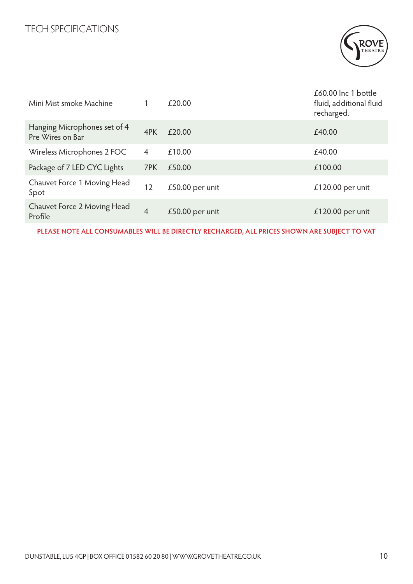

| Mini Mist smoke Machine                          |                | £20.00            | £60.00 Inc 1 bottle<br>fluid, additional fluid<br>recharged. |
|--------------------------------------------------|----------------|-------------------|--------------------------------------------------------------|
| Hanging Microphones set of 4<br>Pre Wires on Bar | 4PK            | £20.00            | £40.00                                                       |
| Wireless Microphones 2 FOC                       | $\overline{4}$ | £10.00            | £40.00                                                       |
| Package of 7 LED CYC Lights                      | 7PK            | £50.00            | £100.00                                                      |
| Chauvet Force 1 Moving Head<br>Spot              | 12             | $£50.00$ per unit | $£120.00$ per unit                                           |
| Chauvet Force 2 Moving Head<br>Profile           | 4              | £50.00 per unit   | $£120.00$ per unit                                           |

**PLEASE NOTE ALL CONSUMABLES WILL BE DIRECTLY RECHARGED, ALL PRICES SHOWN ARE SUBJECT TO VAT**